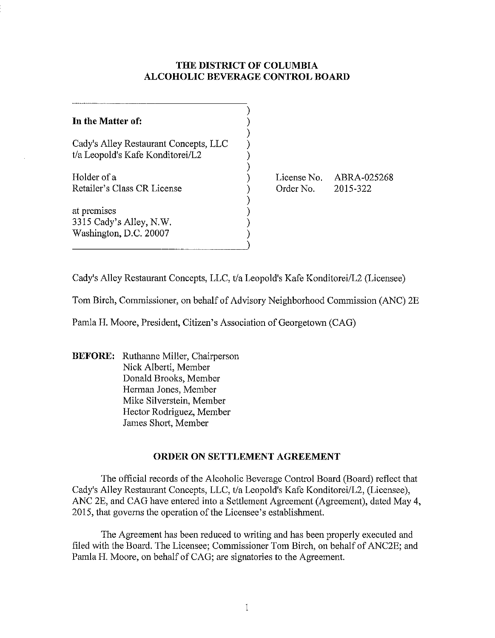## **THE DISTRICT OF COLUMBIA ALCOHOLIC BEVERAGE CONTROL BOARD**

| In the Matter of:                                                         |                          |                         |
|---------------------------------------------------------------------------|--------------------------|-------------------------|
| Cady's Alley Restaurant Concepts, LLC<br>t/a Leopold's Kafe Konditorei/L2 |                          |                         |
| Holder of a<br>Retailer's Class CR License                                | License No.<br>Order No. | ABRA-025268<br>2015-322 |
| at premises<br>3315 Cady's Alley, N.W.<br>Washington, D.C. 20007          |                          |                         |

Cady's Alley Restaurant Concepts, LLC, tla Leopold's Kafe Konditorei/L2 (Licensee)

Tom Birch, Commissioner, on behalf of Advisory Neighborhood Commission (ANC) 2E

Pamla H. Moore, President, Citizen's Association of Georgetown (CAG)

**BEFORE:** Ruthanne Miller, Chairperson Nick Alberti, Member Donald Brooks, Member Herman Jones, Member Mike Silverstein, Member Hector Rodriguez, Member James Short, Member

## **ORDER ON SETTLEMENT AGREEMENT**

The official records of the Alcoholic Beverage Control Board (Board) reflect that Cady's Alley Restaurant Concepts, LLC, t/a Leopold's Kafe Konditorei/L2, (Licensee), ANC 2E, and CAG have entered into a Settlement Agreement (Agreement), dated May 4, 2015, that governs the operation of the Licensee's establishment.

The Agreement has been reduced to writing and has been properly executed and filed with the Board. The Licensee; Commissioner Tom Birch, on behalf of ANC2E; and Pamla H. Moore, on behalf of CAG; are signatories to the Agreement.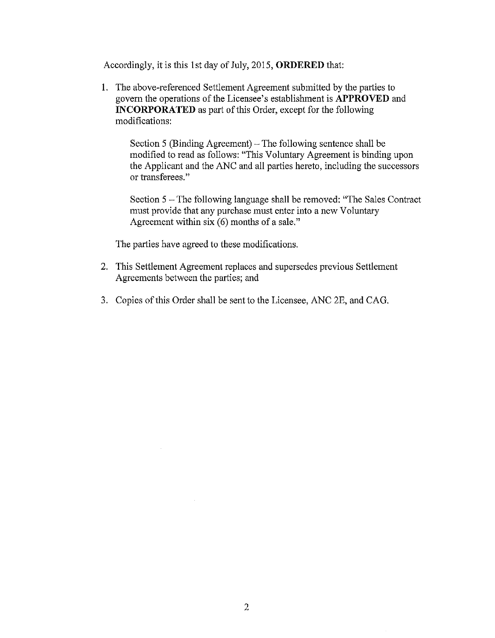Accordingly, it is this 1 st day of July, 2015, **ORDERED** that:

1. The above-referenced Settlement Agreement submitted by the parties to govern the operations of the Licensee's establishment is **APPROVED** and **INCORPORATED** as part of this Order, except for the following modifications:

Section 5 (Binding Agreement) – The following sentence shall be modified to read as follows: "This Voluntary Agreement is binding upon the Applicant and the ANC and all parties hereto, including the successors or transferees."

Section 5 – The following language shall be removed: "The Sales Contract" must provide that any purchase must enter into a new Voluntary Agreement within six (6) months of a sale."

The parties have agreed to these modifications.

- 2. This Settlement Agreement replaces and supersedes previous Settlement Agreements between the parties; and
- 3. Copies of this Order shall be sent to the Licensee, ANC 2E, and CAG.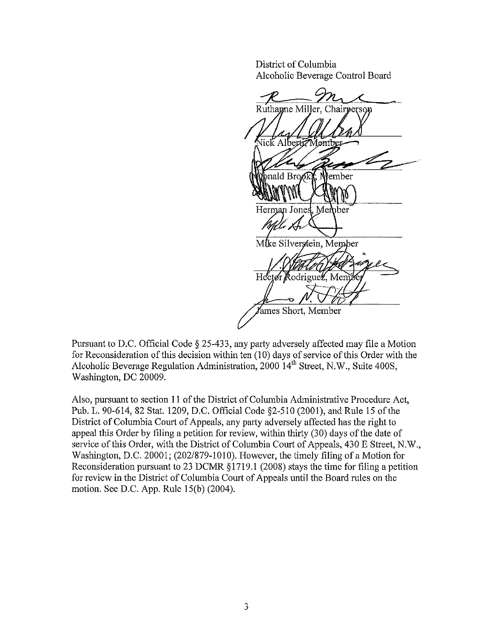District of Columbia Alcoholic Beverage Control Board

Ruthanne Miller, Chairperson 1emb  $\mathbf{b}$  and  $\mathbf{B}$  rooks. Whember Herman Jones, Member Mike Silverstein, Member Hector Rodriguez, Mer Yames Short, Member

Pursuant to D.C. Official Code § 25-433, any party adversely affected may file a Motion for Reconsideration of this decision within ten (10) days of service of this Order with the Alcoholic Beverage Regulation Administration, 2000  $14<sup>th</sup>$  Street, N.W., Suite 400S, Washington, DC 20009.

Also, pursuant to section **11** of the District of Columbia Administrative Procedure Act, Pub. 1. 90-614, 82 Stat. 1209, D.C. Official Code §2-510 (2001), and Rule 15 of the District of Columbia Court of Appeals, any party adversely affected has the right to appeal this Order by filing a petition for review, within thirty (30) days of the date of service of this Order, with the District of Columbia Court of Appeals, 430 E Street, N.W., Washington, D.C. 20001; (202/879-1010). However, the timely filing of a Motion for Reconsideration pursuant to 23 DCMR § 1719.1 (2008) stays the time for filing a petition for review in the District of Columbia Court of Appeals until the Board rules on the motion. See D.C. App. Rule 15(b) (2004).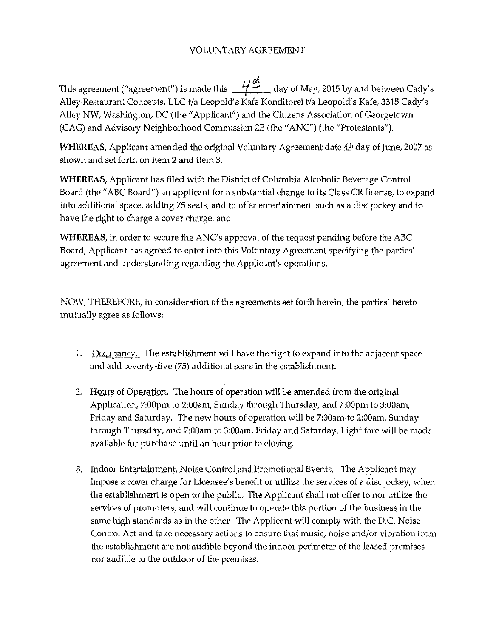## VOLUNTARY AGREEMENT

This agreement ("agreement") is made this  $\frac{1}{n}$  day of May, 2015 by and between Cady's Alley Restaurant Concepts, LLC t/a Leopold's Kafe Konditorei t/a Leopold's Kafe, 3315 Cady's Alley NW, Washington, DC (the "Applicant") and the Citizens Association of Georgetown (CAG) and Advisory Neighborhood Commission 2E (the" ANC") (the "Protestants").

WHEREAS, Applicant amended the original Voluntary Agreement date 4<sup>th</sup> day of June, 2007 as shown and set forth on item 2 and item 3.

WHEREAS, Applicant has filed with the District of Columbia Alcoholic Beverage Control Board (the "ABC Board") an applicant for a substantial change to its Class CR license, to expand into additional space, adding 75 seats, and to offer entertainment such as a disc jockey and to have the right to charge a cover charge, and

WHEREAS, in order to secure the ANC's approval of the request pending before the ABC Board, Applicant has agreed to enter into this Voluntary Agreement specifying the parties' agreement and understanding regarding the Applicant's operations.

NOW, THEREFORE, in consideration of the agreements set forth herein, the parties' hereto mutually agree as follows:

- 1. Occupancy. The establishment will have the right to expand into the adjacent space and add seventy-five (75) additional seats in the establishment.
- 2. Hours of Operation. The hours of operation will be amended from the original Application, 7:00pm to 2:00am, Sunday through Thursday, and 7:00pm to 3:00am, Friday and Saturday. The new hours of operation will be 7:00am to 2:00am, Sunday through Thursday, and 7:00am to 3:00am, Friday and Saturday. Light fare will be made available for purchase until an hour prior to closing.
- 3. Indoor Entertainment. Noise Control and Promotional Events. The Applicant may impose a cover charge for Licensee's benefit or utilize the services of a disc jockey, when the establishment is open to the public. The Applicant shall not offer to nor utilize the services of promoters, and will continue to operate this portion of the business in the same high standards as in the other. The Applicant will comply with the D.C. Noise Control Act and take necessary actions to ensure that music, noise and/or vibration from the establishment are not audible beyond the indoor perimeter of the leased premises nor audible to the outdoor of the premises.